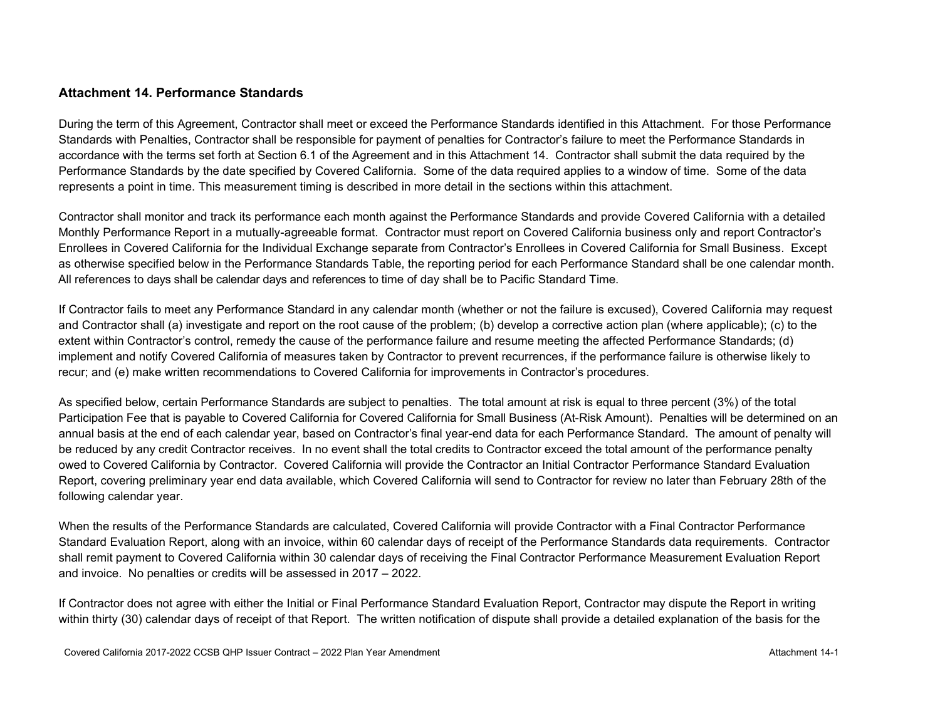### **Attachment 14. Performance Standards**

During the term of this Agreement, Contractor shall meet or exceed the Performance Standards identified in this Attachment. For those Performance Standards with Penalties, Contractor shall be responsible for payment of penalties for Contractor's failure to meet the Performance Standards in accordance with the terms set forth at Section 6.1 of the Agreement and in this Attachment 14. Contractor shall submit the data required by the Performance Standards by the date specified by Covered California. Some of the data required applies to a window of time. Some of the data represents a point in time. This measurement timing is described in more detail in the sections within this attachment.

Contractor shall monitor and track its performance each month against the Performance Standards and provide Covered California with a detailed Monthly Performance Report in a mutually-agreeable format. Contractor must report on Covered California business only and report Contractor's Enrollees in Covered California for the Individual Exchange separate from Contractor's Enrollees in Covered California for Small Business. Except as otherwise specified below in the Performance Standards Table, the reporting period for each Performance Standard shall be one calendar month. All references to days shall be calendar days and references to time of day shall be to Pacific Standard Time.

If Contractor fails to meet any Performance Standard in any calendar month (whether or not the failure is excused), Covered California may request and Contractor shall (a) investigate and report on the root cause of the problem; (b) develop a corrective action plan (where applicable); (c) to the extent within Contractor's control, remedy the cause of the performance failure and resume meeting the affected Performance Standards; (d) implement and notify Covered California of measures taken by Contractor to prevent recurrences, if the performance failure is otherwise likely to recur; and (e) make written recommendations to Covered California for improvements in Contractor's procedures.

As specified below, certain Performance Standards are subject to penalties. The total amount at risk is equal to three percent (3%) of the total Participation Fee that is payable to Covered California for Covered California for Small Business (At-Risk Amount). Penalties will be determined on an annual basis at the end of each calendar year, based on Contractor's final year-end data for each Performance Standard. The amount of penalty will be reduced by any credit Contractor receives. In no event shall the total credits to Contractor exceed the total amount of the performance penalty owed to Covered California by Contractor. Covered California will provide the Contractor an Initial Contractor Performance Standard Evaluation Report, covering preliminary year end data available, which Covered California will send to Contractor for review no later than February 28th of the following calendar year.

When the results of the Performance Standards are calculated, Covered California will provide Contractor with a Final Contractor Performance Standard Evaluation Report, along with an invoice, within 60 calendar days of receipt of the Performance Standards data requirements. Contractor shall remit payment to Covered California within 30 calendar days of receiving the Final Contractor Performance Measurement Evaluation Report and invoice. No penalties or credits will be assessed in 2017 – 2022.

If Contractor does not agree with either the Initial or Final Performance Standard Evaluation Report, Contractor may dispute the Report in writing within thirty (30) calendar days of receipt of that Report. The written notification of dispute shall provide a detailed explanation of the basis for the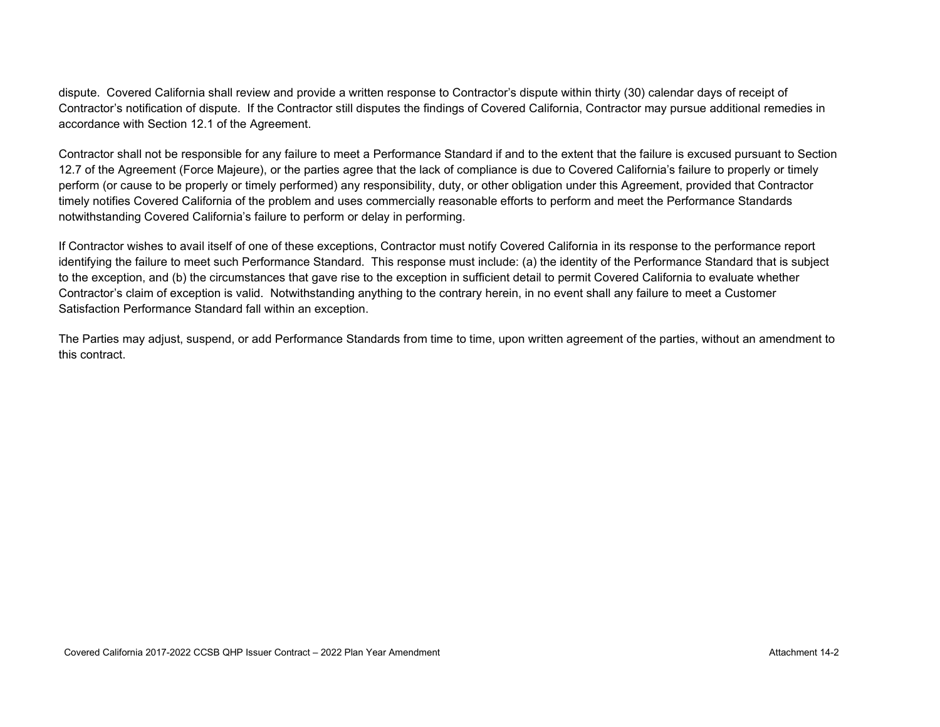dispute. Covered California shall review and provide a written response to Contractor's dispute within thirty (30) calendar days of receipt of Contractor's notification of dispute. If the Contractor still disputes the findings of Covered California, Contractor may pursue additional remedies in accordance with Section 12.1 of the Agreement.

Contractor shall not be responsible for any failure to meet a Performance Standard if and to the extent that the failure is excused pursuant to Section 12.7 of the Agreement (Force Majeure), or the parties agree that the lack of compliance is due to Covered California's failure to properly or timely perform (or cause to be properly or timely performed) any responsibility, duty, or other obligation under this Agreement, provided that Contractor timely notifies Covered California of the problem and uses commercially reasonable efforts to perform and meet the Performance Standards notwithstanding Covered California's failure to perform or delay in performing.

If Contractor wishes to avail itself of one of these exceptions, Contractor must notify Covered California in its response to the performance report identifying the failure to meet such Performance Standard. This response must include: (a) the identity of the Performance Standard that is subject to the exception, and (b) the circumstances that gave rise to the exception in sufficient detail to permit Covered California to evaluate whether Contractor's claim of exception is valid. Notwithstanding anything to the contrary herein, in no event shall any failure to meet a Customer Satisfaction Performance Standard fall within an exception.

The Parties may adjust, suspend, or add Performance Standards from time to time, upon written agreement of the parties, without an amendment to this contract.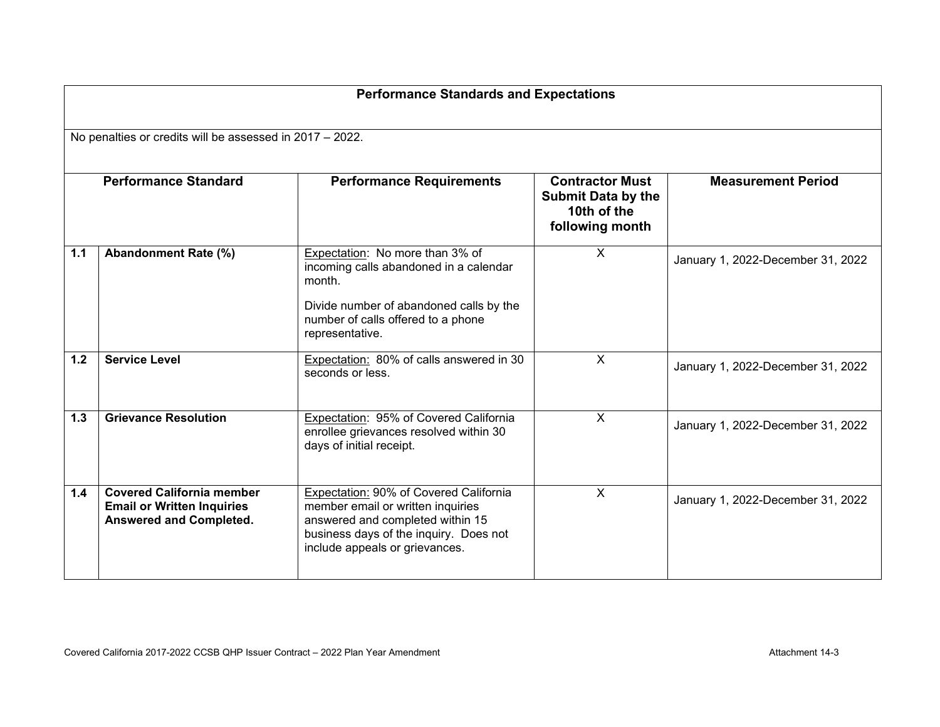|       | <b>Performance Standards and Expectations</b>                                                           |                                                                                                                                                                                             |                                                                                       |                                   |  |  |  |  |
|-------|---------------------------------------------------------------------------------------------------------|---------------------------------------------------------------------------------------------------------------------------------------------------------------------------------------------|---------------------------------------------------------------------------------------|-----------------------------------|--|--|--|--|
|       | No penalties or credits will be assessed in 2017 - 2022.                                                |                                                                                                                                                                                             |                                                                                       |                                   |  |  |  |  |
|       | <b>Performance Standard</b>                                                                             | <b>Performance Requirements</b>                                                                                                                                                             | <b>Contractor Must</b><br><b>Submit Data by the</b><br>10th of the<br>following month | <b>Measurement Period</b>         |  |  |  |  |
| 1.1   | Abandonment Rate (%)                                                                                    | Expectation: No more than 3% of<br>incoming calls abandoned in a calendar<br>month.<br>Divide number of abandoned calls by the<br>number of calls offered to a phone<br>representative.     | $\mathsf{X}$                                                                          | January 1, 2022-December 31, 2022 |  |  |  |  |
| $1.2$ | <b>Service Level</b>                                                                                    | Expectation: 80% of calls answered in 30<br>seconds or less.                                                                                                                                | $\mathsf{X}$                                                                          | January 1, 2022-December 31, 2022 |  |  |  |  |
| 1.3   | <b>Grievance Resolution</b>                                                                             | Expectation: 95% of Covered California<br>enrollee grievances resolved within 30<br>days of initial receipt.                                                                                | $\mathsf{X}$                                                                          | January 1, 2022-December 31, 2022 |  |  |  |  |
| 1.4   | <b>Covered California member</b><br><b>Email or Written Inquiries</b><br><b>Answered and Completed.</b> | Expectation: 90% of Covered California<br>member email or written inquiries<br>answered and completed within 15<br>business days of the inquiry. Does not<br>include appeals or grievances. | $\mathsf{X}$                                                                          | January 1, 2022-December 31, 2022 |  |  |  |  |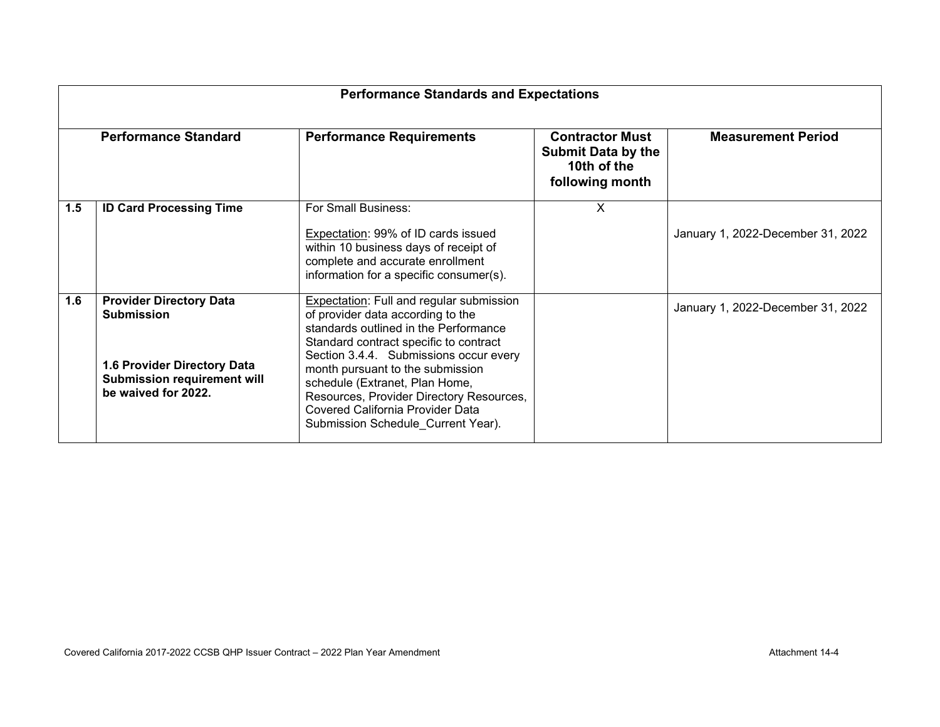| <b>Performance Standards and Expectations</b> |                                                                                                                                                 |                                                                                                                                                                                                                                                                                                                                                                                                               |                                                                                       |                                   |  |  |
|-----------------------------------------------|-------------------------------------------------------------------------------------------------------------------------------------------------|---------------------------------------------------------------------------------------------------------------------------------------------------------------------------------------------------------------------------------------------------------------------------------------------------------------------------------------------------------------------------------------------------------------|---------------------------------------------------------------------------------------|-----------------------------------|--|--|
| <b>Performance Standard</b>                   |                                                                                                                                                 | <b>Performance Requirements</b>                                                                                                                                                                                                                                                                                                                                                                               | <b>Contractor Must</b><br><b>Submit Data by the</b><br>10th of the<br>following month | <b>Measurement Period</b>         |  |  |
| 1.5                                           | <b>ID Card Processing Time</b>                                                                                                                  | For Small Business:<br>Expectation: 99% of ID cards issued<br>within 10 business days of receipt of<br>complete and accurate enrollment<br>information for a specific consumer(s).                                                                                                                                                                                                                            | X                                                                                     | January 1, 2022-December 31, 2022 |  |  |
| 1.6                                           | <b>Provider Directory Data</b><br><b>Submission</b><br>1.6 Provider Directory Data<br><b>Submission requirement will</b><br>be waived for 2022. | <b>Expectation: Full and regular submission</b><br>of provider data according to the<br>standards outlined in the Performance<br>Standard contract specific to contract<br>Section 3.4.4. Submissions occur every<br>month pursuant to the submission<br>schedule (Extranet, Plan Home,<br>Resources, Provider Directory Resources,<br>Covered California Provider Data<br>Submission Schedule_Current Year). |                                                                                       | January 1, 2022-December 31, 2022 |  |  |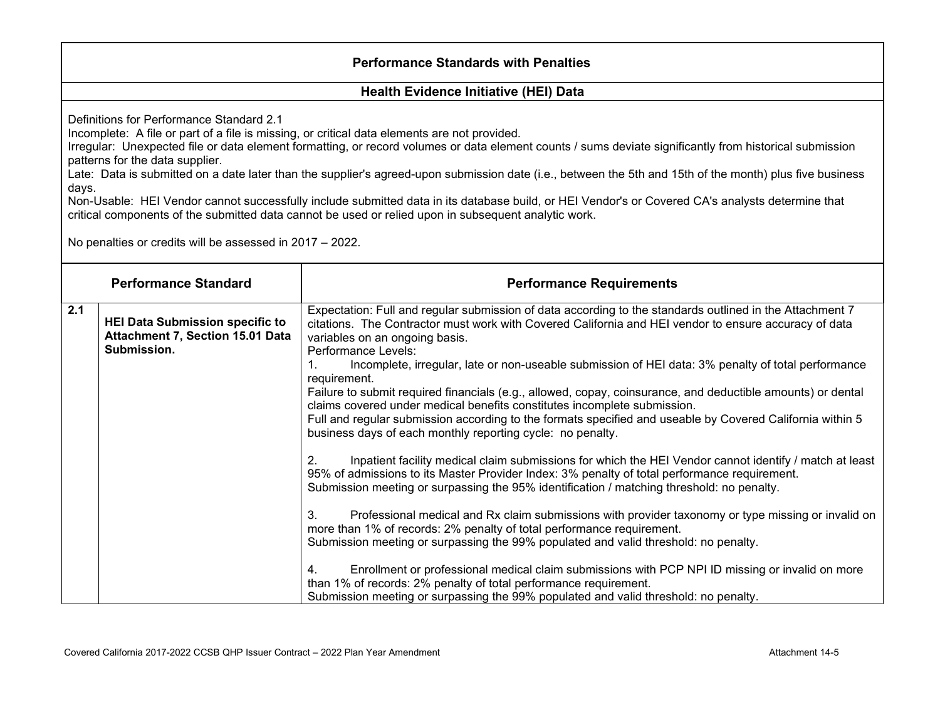### **Performance Standards with Penalties**

### **Health Evidence Initiative (HEI) Data**

Definitions for Performance Standard 2.1

Incomplete: A file or part of a file is missing, or critical data elements are not provided.

Irregular: Unexpected file or data element formatting, or record volumes or data element counts / sums deviate significantly from historical submission patterns for the data supplier.

Late: Data is submitted on a date later than the supplier's agreed-upon submission date (i.e., between the 5th and 15th of the month) plus five business days.

Non-Usable: HEI Vendor cannot successfully include submitted data in its database build, or HEI Vendor's or Covered CA's analysts determine that critical components of the submitted data cannot be used or relied upon in subsequent analytic work.

No penalties or credits will be assessed in 2017 – 2022.

|     | <b>Performance Standard</b>                                                               | <b>Performance Requirements</b>                                                                                                                                                                                                                                                                     |
|-----|-------------------------------------------------------------------------------------------|-----------------------------------------------------------------------------------------------------------------------------------------------------------------------------------------------------------------------------------------------------------------------------------------------------|
| 2.1 | <b>HEI Data Submission specific to</b><br>Attachment 7, Section 15.01 Data<br>Submission. | Expectation: Full and regular submission of data according to the standards outlined in the Attachment 7<br>citations. The Contractor must work with Covered California and HEI vendor to ensure accuracy of data<br>variables on an ongoing basis.<br>Performance Levels:                          |
|     |                                                                                           | Incomplete, irregular, late or non-useable submission of HEI data: 3% penalty of total performance<br>requirement.                                                                                                                                                                                  |
|     |                                                                                           | Failure to submit required financials (e.g., allowed, copay, coinsurance, and deductible amounts) or dental<br>claims covered under medical benefits constitutes incomplete submission.                                                                                                             |
|     |                                                                                           | Full and regular submission according to the formats specified and useable by Covered California within 5<br>business days of each monthly reporting cycle: no penalty.                                                                                                                             |
|     |                                                                                           | Inpatient facility medical claim submissions for which the HEI Vendor cannot identify / match at least<br>95% of admissions to its Master Provider Index: 3% penalty of total performance requirement.<br>Submission meeting or surpassing the 95% identification / matching threshold: no penalty. |
|     |                                                                                           | Professional medical and Rx claim submissions with provider taxonomy or type missing or invalid on<br>3.<br>more than 1% of records: 2% penalty of total performance requirement.<br>Submission meeting or surpassing the 99% populated and valid threshold: no penalty.                            |
|     |                                                                                           | Enrollment or professional medical claim submissions with PCP NPI ID missing or invalid on more<br>than 1% of records: 2% penalty of total performance requirement.<br>Submission meeting or surpassing the 99% populated and valid threshold: no penalty.                                          |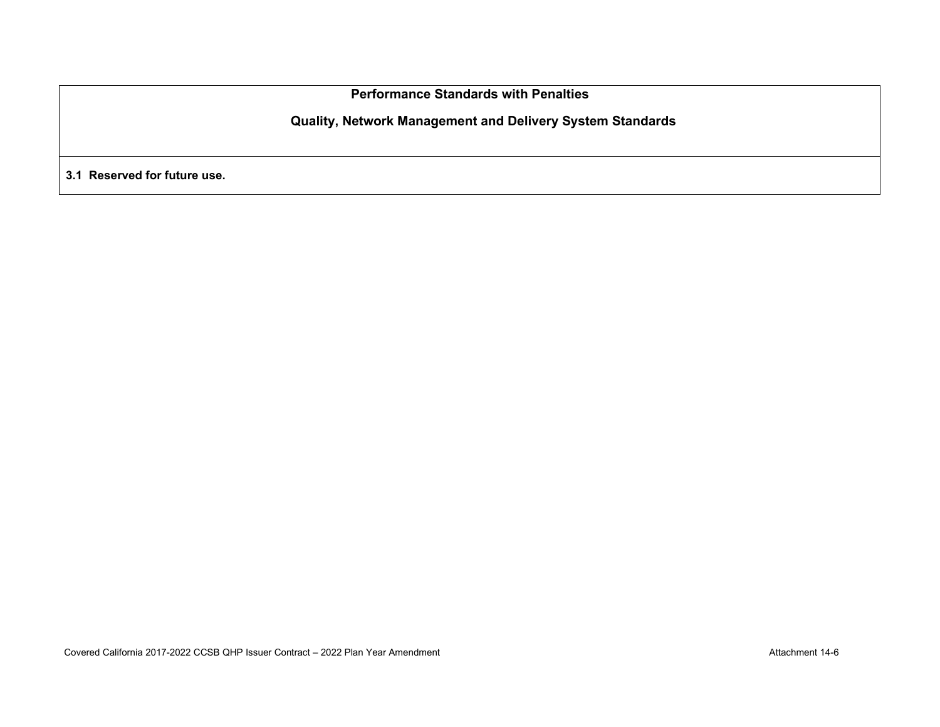**Performance Standards with Penalties**

**Quality, Network Management and Delivery System Standards**

**3.1 Reserved for future use.**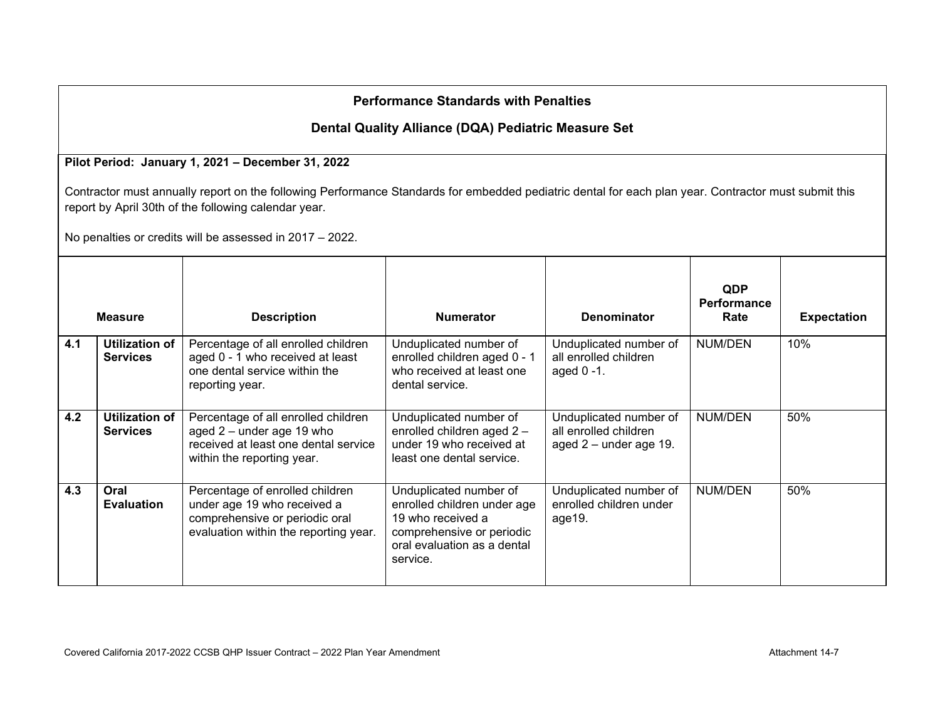# **Performance Standards with Penalties**

## **Dental Quality Alliance (DQA) Pediatric Measure Set**

### **Pilot Period: January 1, 2021 – December 31, 2022**

Contractor must annually report on the following Performance Standards for embedded pediatric dental for each plan year. Contractor must submit this report by April 30th of the following calendar year.

No penalties or credits will be assessed in 2017 – 2022.

|     | <b>Measure</b>                    | <b>Description</b>                                                                                                                        | <b>Numerator</b>                                                                                                                                   | <b>Denominator</b>                                                          | <b>QDP</b><br><b>Performance</b><br>Rate | <b>Expectation</b> |
|-----|-----------------------------------|-------------------------------------------------------------------------------------------------------------------------------------------|----------------------------------------------------------------------------------------------------------------------------------------------------|-----------------------------------------------------------------------------|------------------------------------------|--------------------|
| 4.1 | Utilization of<br><b>Services</b> | Percentage of all enrolled children<br>aged 0 - 1 who received at least<br>one dental service within the<br>reporting year.               | Unduplicated number of<br>enrolled children aged 0 - 1<br>who received at least one<br>dental service.                                             | Unduplicated number of<br>all enrolled children<br>aged $0 - 1$ .           | <b>NUM/DEN</b>                           | 10%                |
| 4.2 | Utilization of<br><b>Services</b> | Percentage of all enrolled children<br>aged 2 - under age 19 who<br>received at least one dental service<br>within the reporting year.    | Unduplicated number of<br>enrolled children aged 2 -<br>under 19 who received at<br>least one dental service.                                      | Unduplicated number of<br>all enrolled children<br>aged $2$ – under age 19. | NUM/DEN                                  | 50%                |
| 4.3 | Oral<br><b>Evaluation</b>         | Percentage of enrolled children<br>under age 19 who received a<br>comprehensive or periodic oral<br>evaluation within the reporting year. | Unduplicated number of<br>enrolled children under age<br>19 who received a<br>comprehensive or periodic<br>oral evaluation as a dental<br>service. | Unduplicated number of<br>enrolled children under<br>age19.                 | NUM/DEN                                  | 50%                |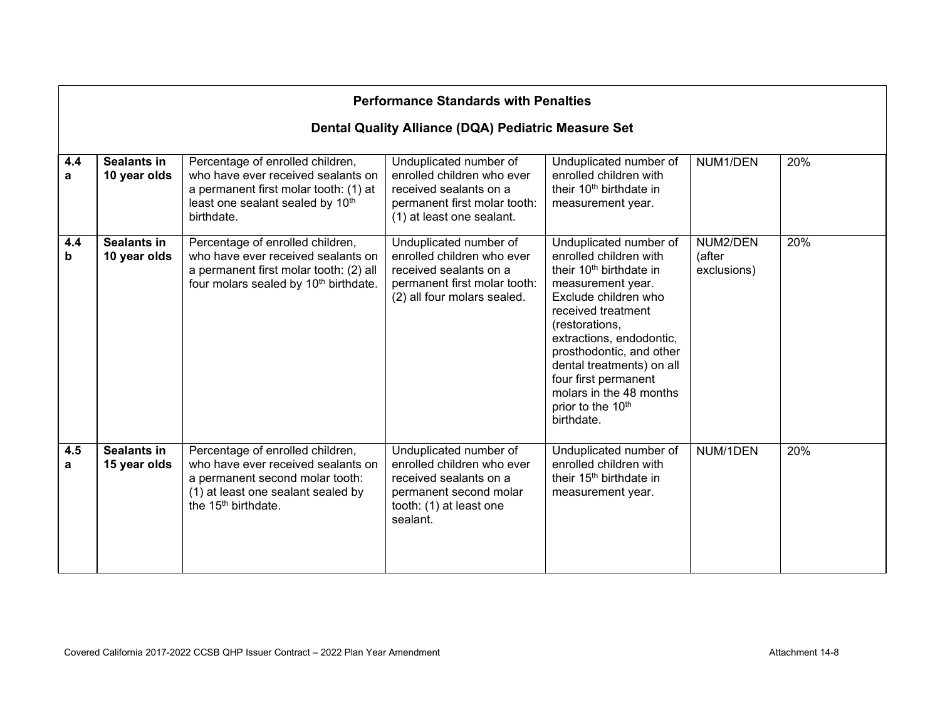|          | <b>Performance Standards with Penalties</b>         |                                                                                                                                                                                    |                                                                                                                                                 |                                                                                                                                                                                                                                                                                                                                                                     |                                   |     |  |  |  |
|----------|-----------------------------------------------------|------------------------------------------------------------------------------------------------------------------------------------------------------------------------------------|-------------------------------------------------------------------------------------------------------------------------------------------------|---------------------------------------------------------------------------------------------------------------------------------------------------------------------------------------------------------------------------------------------------------------------------------------------------------------------------------------------------------------------|-----------------------------------|-----|--|--|--|
|          | Dental Quality Alliance (DQA) Pediatric Measure Set |                                                                                                                                                                                    |                                                                                                                                                 |                                                                                                                                                                                                                                                                                                                                                                     |                                   |     |  |  |  |
| 4.4<br>a | <b>Sealants in</b><br>10 year olds                  | Percentage of enrolled children,<br>who have ever received sealants on<br>a permanent first molar tooth: (1) at<br>least one sealant sealed by 10th<br>birthdate.                  | Unduplicated number of<br>enrolled children who ever<br>received sealants on a<br>permanent first molar tooth:<br>(1) at least one sealant.     | Unduplicated number of<br>enrolled children with<br>their 10 <sup>th</sup> birthdate in<br>measurement year.                                                                                                                                                                                                                                                        | NUM1/DEN                          | 20% |  |  |  |
| 4.4<br>b | <b>Sealants in</b><br>10 year olds                  | Percentage of enrolled children,<br>who have ever received sealants on<br>a permanent first molar tooth: (2) all<br>four molars sealed by 10 <sup>th</sup> birthdate.              | Unduplicated number of<br>enrolled children who ever<br>received sealants on a<br>permanent first molar tooth:<br>(2) all four molars sealed.   | Unduplicated number of<br>enrolled children with<br>their 10 <sup>th</sup> birthdate in<br>measurement year.<br>Exclude children who<br>received treatment<br>(restorations,<br>extractions, endodontic,<br>prosthodontic, and other<br>dental treatments) on all<br>four first permanent<br>molars in the 48 months<br>prior to the 10 <sup>th</sup><br>birthdate. | NUM2/DEN<br>(after<br>exclusions) | 20% |  |  |  |
| 4.5<br>a | <b>Sealants in</b><br>15 year olds                  | Percentage of enrolled children,<br>who have ever received sealants on<br>a permanent second molar tooth:<br>(1) at least one sealant sealed by<br>the 15 <sup>th</sup> birthdate. | Unduplicated number of<br>enrolled children who ever<br>received sealants on a<br>permanent second molar<br>tooth: (1) at least one<br>sealant. | Unduplicated number of<br>enrolled children with<br>their 15 <sup>th</sup> birthdate in<br>measurement year.                                                                                                                                                                                                                                                        | NUM/1DEN                          | 20% |  |  |  |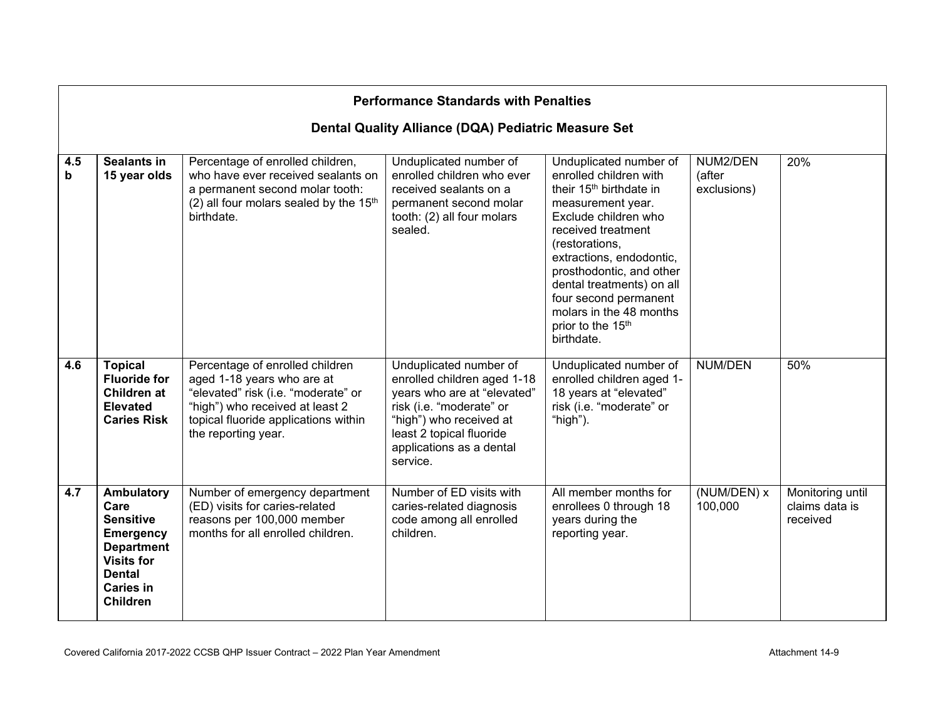|          | <b>Performance Standards with Penalties</b>                                                                                                                  |                                                                                                                                                                                                        |                                                                                                                                                                                                                 |                                                                                                                                                                                                                                                                                                                                                          |                                   |                                                |  |  |
|----------|--------------------------------------------------------------------------------------------------------------------------------------------------------------|--------------------------------------------------------------------------------------------------------------------------------------------------------------------------------------------------------|-----------------------------------------------------------------------------------------------------------------------------------------------------------------------------------------------------------------|----------------------------------------------------------------------------------------------------------------------------------------------------------------------------------------------------------------------------------------------------------------------------------------------------------------------------------------------------------|-----------------------------------|------------------------------------------------|--|--|
|          | Dental Quality Alliance (DQA) Pediatric Measure Set                                                                                                          |                                                                                                                                                                                                        |                                                                                                                                                                                                                 |                                                                                                                                                                                                                                                                                                                                                          |                                   |                                                |  |  |
| 4.5<br>b | <b>Sealants in</b><br>15 year olds                                                                                                                           | Percentage of enrolled children,<br>who have ever received sealants on<br>a permanent second molar tooth:<br>(2) all four molars sealed by the 15th<br>birthdate.                                      | Unduplicated number of<br>enrolled children who ever<br>received sealants on a<br>permanent second molar<br>tooth: (2) all four molars<br>sealed.                                                               | Unduplicated number of<br>enrolled children with<br>their 15 <sup>th</sup> birthdate in<br>measurement year.<br>Exclude children who<br>received treatment<br>(restorations,<br>extractions, endodontic,<br>prosthodontic, and other<br>dental treatments) on all<br>four second permanent<br>molars in the 48 months<br>prior to the 15th<br>birthdate. | NUM2/DEN<br>(after<br>exclusions) | 20%                                            |  |  |
| 4.6      | <b>Topical</b><br><b>Fluoride for</b><br><b>Children at</b><br><b>Elevated</b><br><b>Caries Risk</b>                                                         | Percentage of enrolled children<br>aged 1-18 years who are at<br>"elevated" risk (i.e. "moderate" or<br>"high") who received at least 2<br>topical fluoride applications within<br>the reporting year. | Unduplicated number of<br>enrolled children aged 1-18<br>years who are at "elevated"<br>risk (i.e. "moderate" or<br>"high") who received at<br>least 2 topical fluoride<br>applications as a dental<br>service. | Unduplicated number of<br>enrolled children aged 1-<br>18 years at "elevated"<br>risk (i.e. "moderate" or<br>"high").                                                                                                                                                                                                                                    | <b>NUM/DEN</b>                    | 50%                                            |  |  |
| 4.7      | Ambulatory<br>Care<br><b>Sensitive</b><br><b>Emergency</b><br><b>Department</b><br><b>Visits for</b><br><b>Dental</b><br><b>Caries in</b><br><b>Children</b> | Number of emergency department<br>(ED) visits for caries-related<br>reasons per 100,000 member<br>months for all enrolled children.                                                                    | Number of ED visits with<br>caries-related diagnosis<br>code among all enrolled<br>children.                                                                                                                    | All member months for<br>enrollees 0 through 18<br>years during the<br>reporting year.                                                                                                                                                                                                                                                                   | (NUM/DEN) x<br>100,000            | Monitoring until<br>claims data is<br>received |  |  |